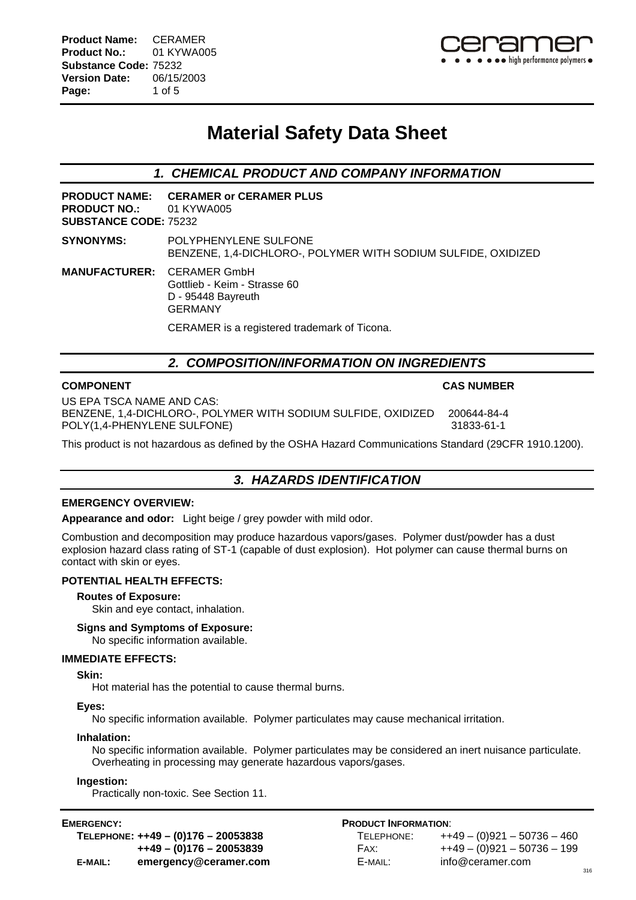# **Material Safety Data Sheet**

*1. CHEMICAL PRODUCT AND COMPANY INFORMATION*

**PRODUCT NAME: CERAMER or CERAMER PLUS PRODUCT NO.:** 01 KYWA005 **SUBSTANCE CODE:** 75232

**SYNONYMS:** POLYPHENYLENE SULFONE BENZENE, 1,4-DICHLORO-, POLYMER WITH SODIUM SULFIDE, OXIDIZED

**MANUFACTURER:** CERAMER GmbH Gottlieb - Keim - Strasse 60 D - 95448 Bayreuth GERMANY CERAMER is a registered trademark of Ticona.

## *2. COMPOSITION/INFORMATION ON INGREDIENTS*

### **COMPONENT CAS NUMBER**

US EPA TSCA NAME AND CAS: BENZENE, 1,4-DICHLORO-, POLYMER WITH SODIUM SULFIDE, OXIDIZED 200644-84-4 POLY(1,4-PHENYLENE SULFONE) 31833-61-1

This product is not hazardous as defined by the OSHA Hazard Communications Standard (29CFR 1910.1200).

## *3. HAZARDS IDENTIFICATION*

### **EMERGENCY OVERVIEW:**

**Appearance and odor:** Light beige / grey powder with mild odor.

Combustion and decomposition may produce hazardous vapors/gases. Polymer dust/powder has a dust explosion hazard class rating of ST-1 (capable of dust explosion). Hot polymer can cause thermal burns on contact with skin or eyes.

### **POTENTIAL HEALTH EFFECTS:**

### **Routes of Exposure:**

Skin and eye contact, inhalation.

### **Signs and Symptoms of Exposure:**

No specific information available.

### **IMMEDIATE EFFECTS:**

### **Skin:**

Hot material has the potential to cause thermal burns.

### **Eyes:**

No specific information available. Polymer particulates may cause mechanical irritation.

### **Inhalation:**

No specific information available. Polymer particulates may be considered an inert nuisance particulate. Overheating in processing may generate hazardous vapors/gases.

### **Ingestion:**

Practically non-toxic. See Section 11.

| TELEPHONE: ++49 - (0)176 - 20053838 |                          | TELEPHONE: | ++49 - (0)921 - 50  |
|-------------------------------------|--------------------------|------------|---------------------|
|                                     | ++49 - (0)176 - 20053839 | FAX:       | $+49 - (0)921 - 50$ |
| E-MAIL:                             | emergency@ceramer.com    | E-MAIL:    | info@ceramer.com    |

### **EMERGENCY: PRODUCT INFORMATION**:

|         | TELEPHONE: ++49 - (0)176 - 20053838 | TELEPHONE: | $+49 - (0)921 - 50736 - 460$ |
|---------|-------------------------------------|------------|------------------------------|
|         | ++49 - (0)176 - 20053839            | FAX:       | ++49 - (0)921 - 50736 - 199  |
| E-MAIL: | emergency@ceramer.com               | E-MAIL:    | info@ceramer.com             |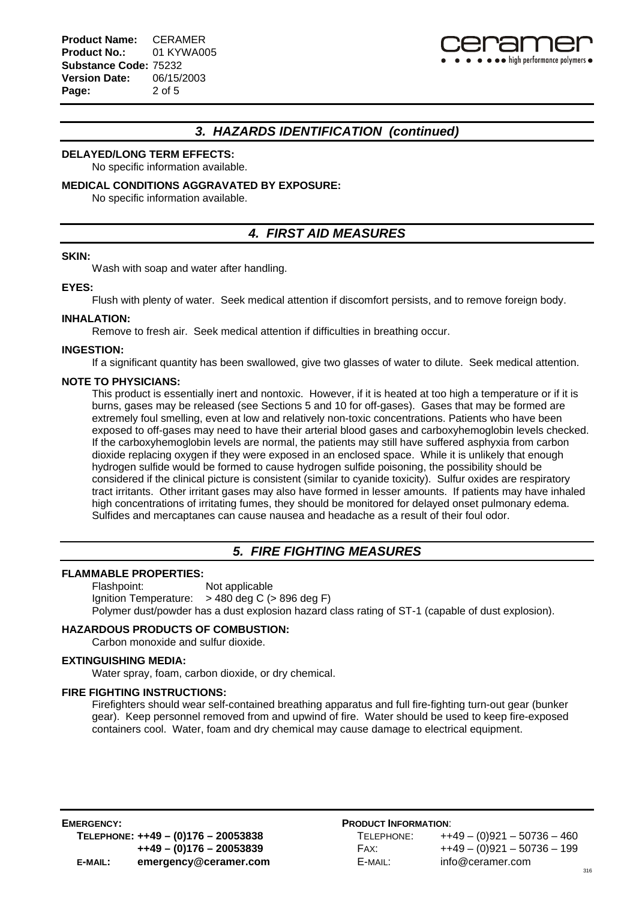

## *3. HAZARDS IDENTIFICATION (continued)*

#### **DELAYED/LONG TERM EFFECTS:**

No specific information available.

#### **MEDICAL CONDITIONS AGGRAVATED BY EXPOSURE:**

No specific information available.

## *4. FIRST AID MEASURES*

#### **SKIN:**

Wash with soap and water after handling.

#### **EYES:**

Flush with plenty of water. Seek medical attention if discomfort persists, and to remove foreign body.

#### **INHALATION:**

Remove to fresh air. Seek medical attention if difficulties in breathing occur.

#### **INGESTION:**

If a significant quantity has been swallowed, give two glasses of water to dilute. Seek medical attention.

#### **NOTE TO PHYSICIANS:**

This product is essentially inert and nontoxic. However, if it is heated at too high a temperature or if it is burns, gases may be released (see Sections 5 and 10 for off-gases). Gases that may be formed are extremely foul smelling, even at low and relatively non-toxic concentrations. Patients who have been exposed to off-gases may need to have their arterial blood gases and carboxyhemoglobin levels checked. If the carboxyhemoglobin levels are normal, the patients may still have suffered asphyxia from carbon dioxide replacing oxygen if they were exposed in an enclosed space. While it is unlikely that enough hydrogen sulfide would be formed to cause hydrogen sulfide poisoning, the possibility should be considered if the clinical picture is consistent (similar to cyanide toxicity). Sulfur oxides are respiratory tract irritants. Other irritant gases may also have formed in lesser amounts. If patients may have inhaled high concentrations of irritating fumes, they should be monitored for delayed onset pulmonary edema. Sulfides and mercaptanes can cause nausea and headache as a result of their foul odor.

## *5. FIRE FIGHTING MEASURES*

#### **FLAMMABLE PROPERTIES:**

Flashpoint: Not applicable Ignition Temperature:  $> 480$  deg C ( $> 896$  deg F) Polymer dust/powder has a dust explosion hazard class rating of ST-1 (capable of dust explosion).

#### **HAZARDOUS PRODUCTS OF COMBUSTION:**

Carbon monoxide and sulfur dioxide.

### **EXTINGUISHING MEDIA:**

Water spray, foam, carbon dioxide, or dry chemical.

#### **FIRE FIGHTING INSTRUCTIONS:**

Firefighters should wear self-contained breathing apparatus and full fire-fighting turn-out gear (bunker gear). Keep personnel removed from and upwind of fire. Water should be used to keep fire-exposed containers cool. Water, foam and dry chemical may cause damage to electrical equipment.

| TELEPHONE: | $++49 - (0)921 - 50736 - 460$ |
|------------|-------------------------------|
| FAX:       | $++49 - (0)921 - 50736 - 199$ |
| E-MAIL:    | info@ceramer.com              |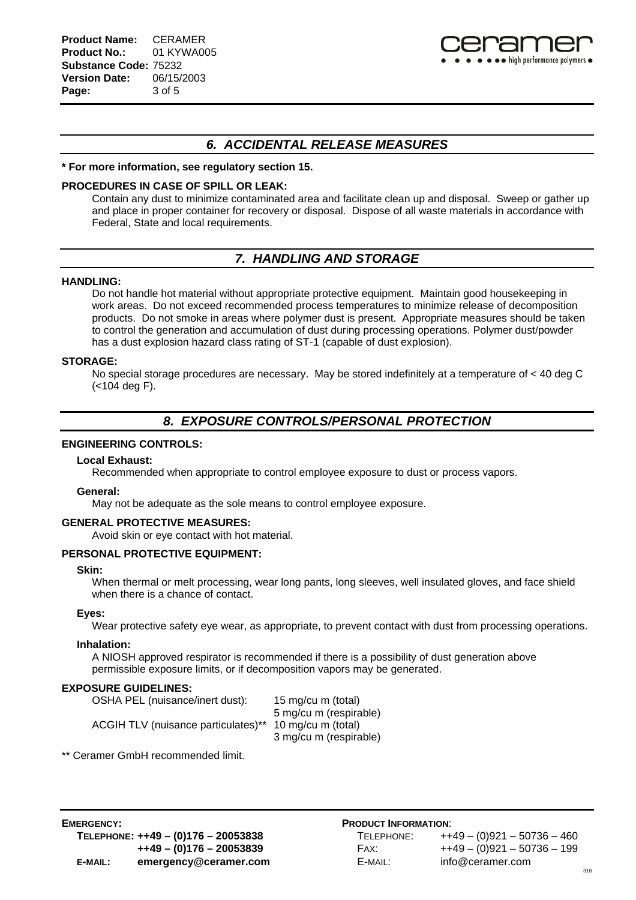

## *6. ACCIDENTAL RELEASE MEASURES*

#### **\* For more information, see regulatory section 15.**

#### **PROCEDURES IN CASE OF SPILL OR LEAK:**

Contain any dust to minimize contaminated area and facilitate clean up and disposal. Sweep or gather up and place in proper container for recovery or disposal. Dispose of all waste materials in accordance with Federal, State and local requirements.

## *7. HANDLING AND STORAGE*

#### **HANDLING:**

Do not handle hot material without appropriate protective equipment. Maintain good housekeeping in work areas. Do not exceed recommended process temperatures to minimize release of decomposition products. Do not smoke in areas where polymer dust is present. Appropriate measures should be taken to control the generation and accumulation of dust during processing operations. Polymer dust/powder has a dust explosion hazard class rating of ST-1 (capable of dust explosion).

#### **STORAGE:**

No special storage procedures are necessary. May be stored indefinitely at a temperature of < 40 deg C (<104 deg F).

## *8. EXPOSURE CONTROLS/PERSONAL PROTECTION*

#### **ENGINEERING CONTROLS:**

#### **Local Exhaust:**

Recommended when appropriate to control employee exposure to dust or process vapors.

#### **General:**

May not be adequate as the sole means to control employee exposure.

#### **GENERAL PROTECTIVE MEASURES:**

Avoid skin or eye contact with hot material.

#### **PERSONAL PROTECTIVE EQUIPMENT:**

#### **Skin:**

When thermal or melt processing, wear long pants, long sleeves, well insulated gloves, and face shield when there is a chance of contact.

#### **Eyes:**

Wear protective safety eye wear, as appropriate, to prevent contact with dust from processing operations.

#### **Inhalation:**

A NIOSH approved respirator is recommended if there is a possibility of dust generation above permissible exposure limits, or if decomposition vapors may be generated.

#### **EXPOSURE GUIDELINES:**

| OSHA PEL (nuisance/inert dust):     | 15 mg/cu m (total)     |
|-------------------------------------|------------------------|
|                                     | 5 mg/cu m (respirable) |
| ACGIH TLV (nuisance particulates)** | 10 mg/cu m (total)     |
|                                     | 3 mg/cu m (respirable) |

\*\* Ceramer GmbH recommended limit.

| TELEPHONE: | $++49 - (0)921 - 50736 - 460$ |
|------------|-------------------------------|
| FAX:       | $++49 - (0)921 - 50736 - 199$ |
| E-MAIL:    | info@ceramer.com              |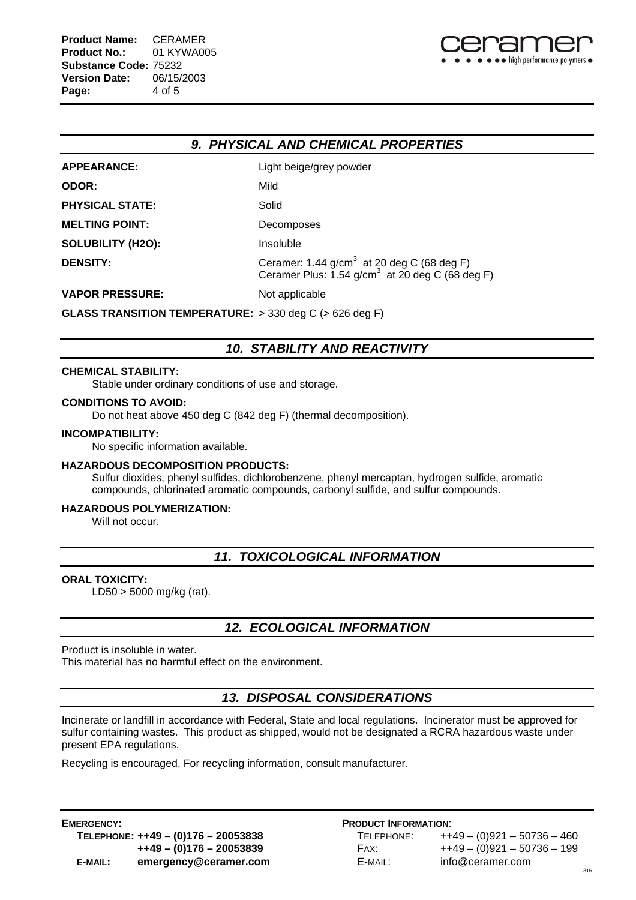

## *9. PHYSICAL AND CHEMICAL PROPERTIES*

| <b>APPEARANCE:</b>       | Light beige/grey powder                                                                                               |
|--------------------------|-----------------------------------------------------------------------------------------------------------------------|
| ODOR:                    | Mild                                                                                                                  |
| <b>PHYSICAL STATE:</b>   | Solid                                                                                                                 |
| <b>MELTING POINT:</b>    | Decomposes                                                                                                            |
| <b>SOLUBILITY (H2O):</b> | Insoluble                                                                                                             |
| <b>DENSITY:</b>          | Ceramer: 1.44 g/cm <sup>3</sup> at 20 deg C (68 deg F)<br>Ceramer Plus: 1.54 g/cm <sup>3</sup> at 20 deg C (68 deg F) |
| <b>VAPOR PRESSURE:</b>   | Not applicable                                                                                                        |

**GLASS TRANSITION TEMPERATURE:** > 330 deg C (> 626 deg F)

## *10. STABILITY AND REACTIVITY*

#### **CHEMICAL STABILITY:**

Stable under ordinary conditions of use and storage.

#### **CONDITIONS TO AVOID:**

Do not heat above 450 deg C (842 deg F) (thermal decomposition).

#### **INCOMPATIBILITY:**

No specific information available.

#### **HAZARDOUS DECOMPOSITION PRODUCTS:**

Sulfur dioxides, phenyl sulfides, dichlorobenzene, phenyl mercaptan, hydrogen sulfide, aromatic compounds, chlorinated aromatic compounds, carbonyl sulfide, and sulfur compounds.

### **HAZARDOUS POLYMERIZATION:**

Will not occur.

## *11. TOXICOLOGICAL INFORMATION*

#### **ORAL TOXICITY:**

LD50 > 5000 mg/kg (rat).

## *12. ECOLOGICAL INFORMATION*

Product is insoluble in water.

This material has no harmful effect on the environment.

## *13. DISPOSAL CONSIDERATIONS*

Incinerate or landfill in accordance with Federal, State and local regulations. Incinerator must be approved for sulfur containing wastes. This product as shipped, would not be designated a RCRA hazardous waste under present EPA regulations.

Recycling is encouraged. For recycling information, consult manufacturer.

**EMERGENCY: PRODUCT INFORMATION**: **E-MAIL: emergency@ceramer.com** E-MAIL: info@ceramer.com

**TELEPHONE: ++49 – (0)176 – 20053838** TELEPHONE: ++49 – (0)921 – 50736 – 460 **++49 – (0)176 – 20053839** FAX: ++49 – (0)921 – 50736 – 199